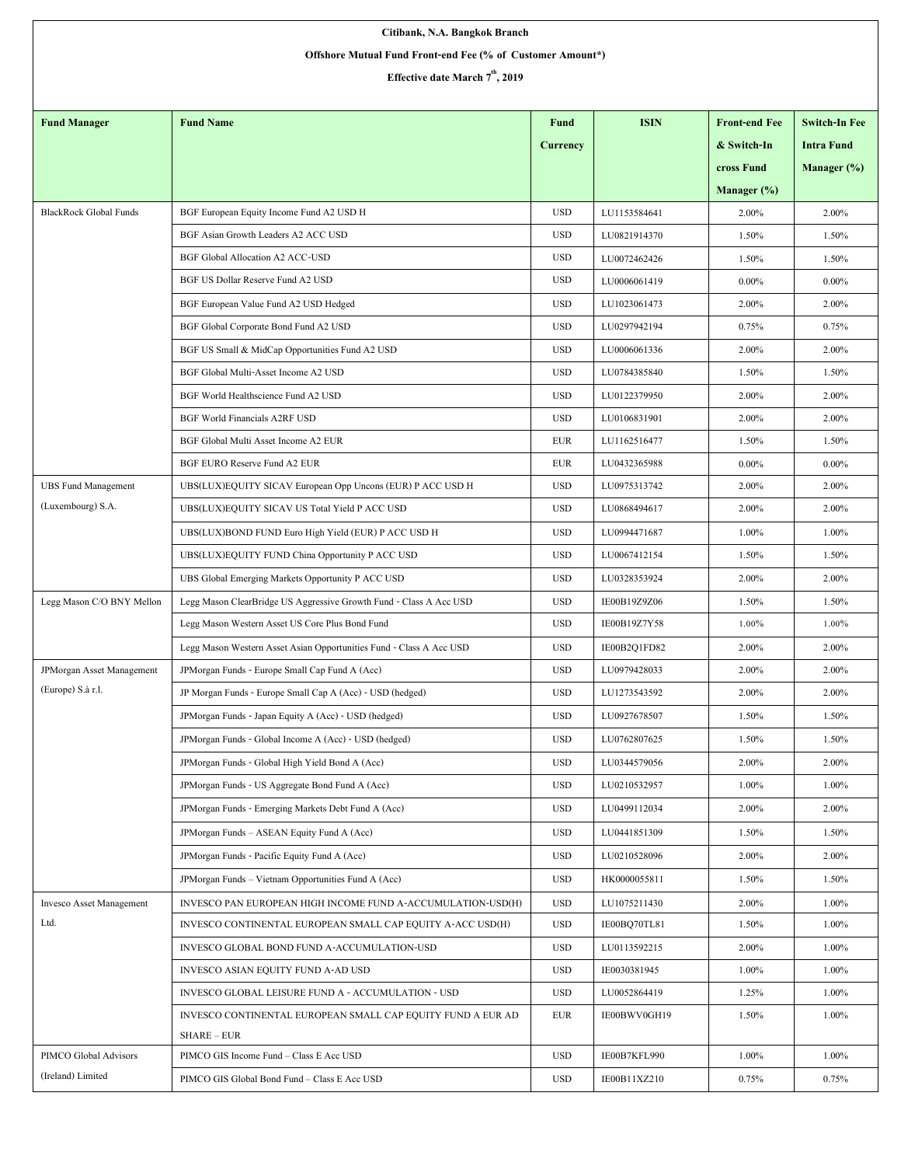| Citibank, N.A. Bangkok Branch                              |                                                                            |                 |              |                      |                      |  |  |  |  |  |
|------------------------------------------------------------|----------------------------------------------------------------------------|-----------------|--------------|----------------------|----------------------|--|--|--|--|--|
| Offshore Mutual Fund Front-end Fee (% of Customer Amount*) |                                                                            |                 |              |                      |                      |  |  |  |  |  |
| Effective date March 7 <sup>th</sup> , 2019                |                                                                            |                 |              |                      |                      |  |  |  |  |  |
|                                                            |                                                                            |                 |              |                      |                      |  |  |  |  |  |
| <b>Fund Manager</b>                                        | <b>Fund Name</b>                                                           | Fund            | <b>ISIN</b>  | <b>Front-end Fee</b> | <b>Switch-In Fee</b> |  |  |  |  |  |
|                                                            |                                                                            | <b>Currency</b> |              | & Switch-In          | <b>Intra Fund</b>    |  |  |  |  |  |
|                                                            |                                                                            |                 |              | cross Fund           | Manager (%)          |  |  |  |  |  |
|                                                            |                                                                            |                 |              | Manager (%)          |                      |  |  |  |  |  |
| <b>BlackRock Global Funds</b>                              | BGF European Equity Income Fund A2 USD H                                   | <b>USD</b>      | LU1153584641 | 2.00%                | 2.00%                |  |  |  |  |  |
|                                                            | BGF Asian Growth Leaders A2 ACC USD                                        | <b>USD</b>      | LU0821914370 | 1.50%                | 1.50%                |  |  |  |  |  |
|                                                            | <b>BGF Global Allocation A2 ACC-USD</b>                                    | <b>USD</b>      | LU0072462426 | 1.50%                | 1.50%                |  |  |  |  |  |
|                                                            | BGF US Dollar Reserve Fund A2 USD                                          | <b>USD</b>      | LU0006061419 | $0.00\%$             | $0.00\%$             |  |  |  |  |  |
|                                                            | BGF European Value Fund A2 USD Hedged                                      | <b>USD</b>      | LU1023061473 | 2.00%                | 2.00%                |  |  |  |  |  |
|                                                            | BGF Global Corporate Bond Fund A2 USD                                      | <b>USD</b>      | LU0297942194 | 0.75%                | 0.75%                |  |  |  |  |  |
|                                                            | BGF US Small & MidCap Opportunities Fund A2 USD                            | <b>USD</b>      | LU0006061336 | 2.00%                | 2.00%                |  |  |  |  |  |
|                                                            | BGF Global Multi-Asset Income A2 USD                                       | <b>USD</b>      | LU0784385840 | 1.50%                | 1.50%                |  |  |  |  |  |
|                                                            | BGF World Healthscience Fund A2 USD                                        | <b>USD</b>      | LU0122379950 | 2.00%                | 2.00%                |  |  |  |  |  |
|                                                            | <b>BGF World Financials A2RF USD</b>                                       | <b>USD</b>      | LU0106831901 | 2.00%                | 2.00%                |  |  |  |  |  |
|                                                            | BGF Global Multi Asset Income A2 EUR                                       | <b>EUR</b>      | LU1162516477 | 1.50%                | 1.50%                |  |  |  |  |  |
|                                                            | BGF EURO Reserve Fund A2 EUR                                               | <b>EUR</b>      | LU0432365988 | $0.00\%$             | $0.00\%$             |  |  |  |  |  |
| <b>UBS Fund Management</b>                                 | UBS(LUX)EQUITY SICAV European Opp Uncons (EUR) P ACC USD H                 | <b>USD</b>      | LU0975313742 | 2.00%                | 2.00%                |  |  |  |  |  |
| (Luxembourg) S.A.                                          | UBS(LUX)EQUITY SICAV US Total Yield P ACC USD                              | <b>USD</b>      | LU0868494617 | 2.00%                | 2.00%                |  |  |  |  |  |
|                                                            | UBS(LUX)BOND FUND Euro High Yield (EUR) P ACC USD H                        | <b>USD</b>      | LU0994471687 | 1.00%                | 1.00%                |  |  |  |  |  |
|                                                            | UBS(LUX)EQUITY FUND China Opportunity P ACC USD                            | <b>USD</b>      | LU0067412154 | 1.50%                | 1.50%                |  |  |  |  |  |
|                                                            | UBS Global Emerging Markets Opportunity P ACC USD                          | <b>USD</b>      | LU0328353924 | 2.00%                | 2.00%                |  |  |  |  |  |
| Legg Mason C/O BNY Mellon                                  | Legg Mason ClearBridge US Aggressive Growth Fund - Class A Acc USD         | <b>USD</b>      | IE00B19Z9Z06 | 1.50%                | 1.50%                |  |  |  |  |  |
|                                                            | Legg Mason Western Asset US Core Plus Bond Fund                            | <b>USD</b>      | IE00B19Z7Y58 | 1.00%                | 1.00%                |  |  |  |  |  |
|                                                            | Legg Mason Western Asset Asian Opportunities Fund - Class A Acc USD        | <b>USD</b>      | IE00B2Q1FD82 | 2.00%                | 2.00%                |  |  |  |  |  |
| JPMorgan Asset Management                                  | JPMorgan Funds - Europe Small Cap Fund A (Acc)                             | <b>USD</b>      | LU0979428033 | 2.00%                | 2.00%                |  |  |  |  |  |
| (Europe) S.à r.l.                                          | JP Morgan Funds - Europe Small Cap A (Acc) - USD (hedged)                  | <b>USD</b>      | LU1273543592 | 2.00%                | 2.00%                |  |  |  |  |  |
|                                                            | JPMorgan Funds - Japan Equity A (Acc) - USD (hedged)                       | <b>USD</b>      | LU0927678507 | 1.50%                | 1.50%                |  |  |  |  |  |
|                                                            | JPMorgan Funds - Global Income A (Acc) - USD (hedged)                      | <b>USD</b>      | LU0762807625 | 1.50%                | 1.50%                |  |  |  |  |  |
|                                                            | JPM organ Funds - Global High Yield Bond A (Acc)                           | <b>USD</b>      | LU0344579056 | 2.00%                | 2.00%                |  |  |  |  |  |
|                                                            | JPMorgan Funds - US Aggregate Bond Fund A (Acc)                            | <b>USD</b>      | LU0210532957 | 1.00%                | 1.00%                |  |  |  |  |  |
|                                                            | JPMorgan Funds - Emerging Markets Debt Fund A (Acc)                        | <b>USD</b>      | LU0499112034 | 2.00%                | 2.00%                |  |  |  |  |  |
|                                                            | JPMorgan Funds - ASEAN Equity Fund A (Acc)                                 | <b>USD</b>      | LU0441851309 | 1.50%                | 1.50%                |  |  |  |  |  |
|                                                            | JPMorgan Funds - Pacific Equity Fund A (Acc)                               | <b>USD</b>      | LU0210528096 | 2.00%                | 2.00%                |  |  |  |  |  |
|                                                            | JPM organ Funds - Vietnam Opportunities Fund A (Acc)                       | <b>USD</b>      | HK0000055811 | 1.50%                | 1.50%                |  |  |  |  |  |
| <b>Invesco Asset Management</b>                            | INVESCO PAN EUROPEAN HIGH INCOME FUND A-ACCUMULATION-USD(H)                | <b>USD</b>      | LU1075211430 | 2.00%                | 1.00%                |  |  |  |  |  |
| Ltd.                                                       | INVESCO CONTINENTAL EUROPEAN SMALL CAP EQUITY A-ACC USD(H)                 | <b>USD</b>      | IE00BQ70TL81 | 1.50%                | 1.00%                |  |  |  |  |  |
|                                                            | INVESCO GLOBAL BOND FUND A-ACCUMULATION-USD                                | <b>USD</b>      | LU0113592215 | 2.00%                | 1.00%                |  |  |  |  |  |
|                                                            | INVESCO ASIAN EQUITY FUND A-AD USD                                         | <b>USD</b>      | IE0030381945 | $1.00\%$             | 1.00%                |  |  |  |  |  |
|                                                            | INVESCO GLOBAL LEISURE FUND A - ACCUMULATION - USD                         | <b>USD</b>      | LU0052864419 | 1.25%                | 1.00%                |  |  |  |  |  |
|                                                            | INVESCO CONTINENTAL EUROPEAN SMALL CAP EQUITY FUND A EUR AD<br>SHARE - EUR | <b>EUR</b>      | IE00BWV0GH19 | 1.50%                | 1.00%                |  |  |  |  |  |
| PIMCO Global Advisors                                      | PIMCO GIS Income Fund - Class E Acc USD                                    | <b>USD</b>      | IE00B7KFL990 | 1.00%                | 1.00%                |  |  |  |  |  |
| (Ireland) Limited                                          | PIMCO GIS Global Bond Fund - Class E Acc USD                               | <b>USD</b>      | IE00B11XZ210 | 0.75%                | 0.75%                |  |  |  |  |  |